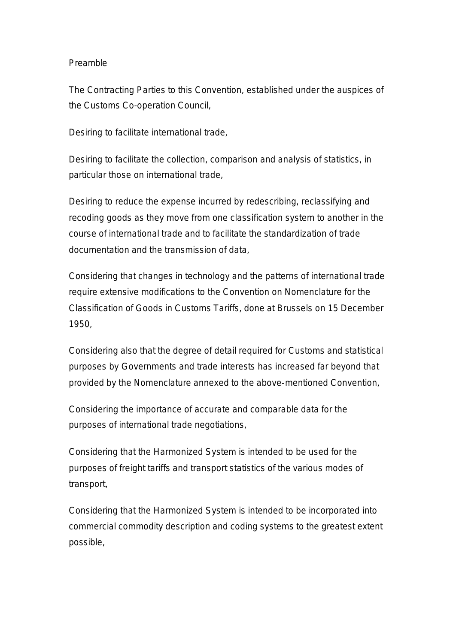#### Preamble

The Contracting Parties to this Convention, established under the auspices of the Customs Co-operation Council,

Desiring to facilitate international trade,

Desiring to facilitate the collection, comparison and analysis of statistics, in particular those on international trade,

Desiring to reduce the expense incurred by redescribing, reclassifying and recoding goods as they move from one classification system to another in the course of international trade and to facilitate the standardization of trade documentation and the transmission of data,

Considering that changes in technology and the patterns of international trade require extensive modifications to the Convention on Nomenclature for the Classification of Goods in Customs Tariffs, done at Brussels on 15 December 1950,

Considering also that the degree of detail required for Customs and statistical purposes by Governments and trade interests has increased far beyond that provided by the Nomenclature annexed to the above-mentioned Convention,

Considering the importance of accurate and comparable data for the purposes of international trade negotiations,

Considering that the Harmonized System is intended to be used for the purposes of freight tariffs and transport statistics of the various modes of transport,

Considering that the Harmonized System is intended to be incorporated into commercial commodity description and coding systems to the greatest extent possible,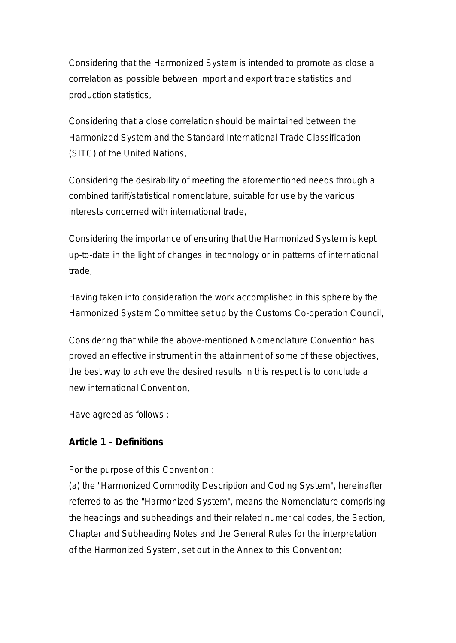Considering that the Harmonized System is intended to promote as close a correlation as possible between import and export trade statistics and production statistics,

Considering that a close correlation should be maintained between the Harmonized System and the Standard International Trade Classification (SITC) of the United Nations,

Considering the desirability of meeting the aforementioned needs through a combined tariff/statistical nomenclature, suitable for use by the various interests concerned with international trade,

Considering the importance of ensuring that the Harmonized System is kept up-to-date in the light of changes in technology or in patterns of international trade,

Having taken into consideration the work accomplished in this sphere by the Harmonized System Committee set up by the Customs Co-operation Council,

Considering that while the above-mentioned Nomenclature Convention has proved an effective instrument in the attainment of some of these objectives, the best way to achieve the desired results in this respect is to conclude a new international Convention,

Have agreed as follows :

#### **Article 1 - Definitions**

For the purpose of this Convention :

(a) the "Harmonized Commodity Description and Coding System", hereinafter referred to as the "Harmonized System", means the Nomenclature comprising the headings and subheadings and their related numerical codes, the Section, Chapter and Subheading Notes and the General Rules for the interpretation of the Harmonized System, set out in the Annex to this Convention;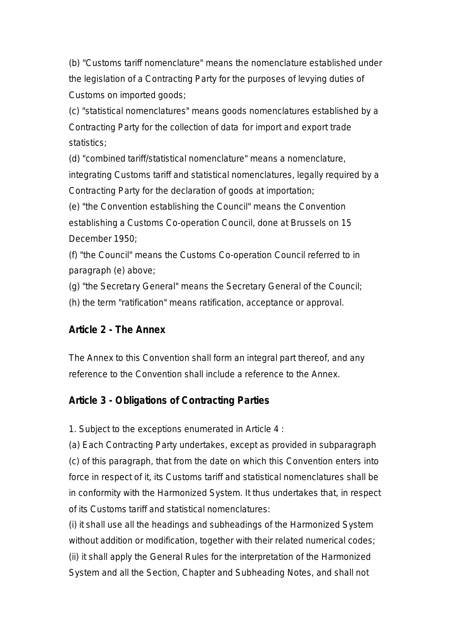(b) "Customs tariff nomenclature" means the nomenclature established under the legislation of a Contracting Party for the purposes of levying duties of Customs on imported goods;

(c) "statistical nomenclatures" means goods nomenclatures established by a Contracting Party for the collection of data for import and export trade statistics:

(d) "combined tariff/statistical nomenclature" means a nomenclature, integrating Customs tariff and statistical nomenclatures, legally required by a Contracting Party for the declaration of goods at importation;

(e) "the Convention establishing the Council" means the Convention establishing a Customs Co-operation Council, done at Brussels on 15 December 1950;

(f) "the Council" means the Customs Co-operation Council referred to in paragraph (e) above;

(g) "the Secretary General" means the Secretary General of the Council;

(h) the term "ratification" means ratification, acceptance or approval.

#### **Article 2 - The Annex**

The Annex to this Convention shall form an integral part thereof, and any reference to the Convention shall include a reference to the Annex.

## **Article 3 - Obligations of Contracting Parties**

1. Subject to the exceptions enumerated in Article 4 :

(a) Each Contracting Party undertakes, except as provided in subparagraph (c) of this paragraph, that from the date on which this Convention enters into force in respect of it, its Customs tariff and statistical nomenclatures shall be in conformity with the Harmonized System. It thus undertakes that, in respect of its Customs tariff and statistical nomenclatures:

(i) it shall use all the headings and subheadings of the Harmonized System without addition or modification, together with their related numerical codes; (ii) it shall apply the General Rules for the interpretation of the Harmonized System and all the Section, Chapter and Subheading Notes, and shall not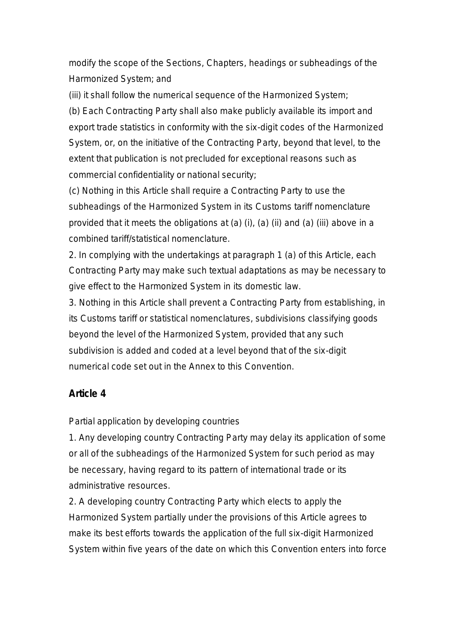modify the scope of the Sections, Chapters, headings or subheadings of the Harmonized System; and

(iii) it shall follow the numerical sequence of the Harmonized System;

(b) Each Contracting Party shall also make publicly available its import and export trade statistics in conformity with the six-digit codes of the Harmonized System, or, on the initiative of the Contracting Party, beyond that level, to the extent that publication is not precluded for exceptional reasons such as commercial confidentiality or national security;

(c) Nothing in this Article shall require a Contracting Party to use the subheadings of the Harmonized System in its Customs tariff nomenclature provided that it meets the obligations at (a) (i), (a) (ii) and (a) (iii) above in a combined tariff/statistical nomenclature.

2. In complying with the undertakings at paragraph 1 (a) of this Article, each Contracting Party may make such textual adaptations as may be necessary to give effect to the Harmonized System in its domestic law.

3. Nothing in this Article shall prevent a Contracting Party from establishing, in its Customs tariff or statistical nomenclatures, subdivisions classifying goods beyond the level of the Harmonized System, provided that any such subdivision is added and coded at a level beyond that of the six-digit numerical code set out in the Annex to this Convention.

#### **Article 4**

Partial application by developing countries

1. Any developing country Contracting Party may delay its application of some or all of the subheadings of the Harmonized System for such period as may be necessary, having regard to its pattern of international trade or its administrative resources.

2. A developing country Contracting Party which elects to apply the Harmonized System partially under the provisions of this Article agrees to make its best efforts towards the application of the full six-digit Harmonized System within five years of the date on which this Convention enters into force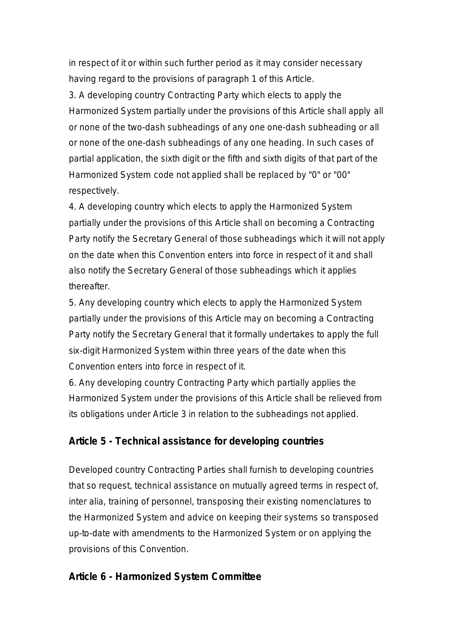in respect of it or within such further period as it may consider necessary having regard to the provisions of paragraph 1 of this Article.

3. A developing country Contracting Party which elects to apply the Harmonized System partially under the provisions of this Article shall apply all or none of the two-dash subheadings of any one one-dash subheading or all or none of the one-dash subheadings of any one heading. In such cases of partial application, the sixth digit or the fifth and sixth digits of that part of the Harmonized System code not applied shall be replaced by "0" or "00" respectively.

4. A developing country which elects to apply the Harmonized System partially under the provisions of this Article shall on becoming a Contracting Party notify the Secretary General of those subheadings which it will not apply on the date when this Convention enters into force in respect of it and shall also notify the Secretary General of those subheadings which it applies thereafter.

5. Any developing country which elects to apply the Harmonized System partially under the provisions of this Article may on becoming a Contracting Party notify the Secretary General that it formally undertakes to apply the full six-digit Harmonized System within three years of the date when this Convention enters into force in respect of it.

6. Any developing country Contracting Party which partially applies the Harmonized System under the provisions of this Article shall be relieved from its obligations under Article 3 in relation to the subheadings not applied.

#### **Article 5 - Technical assistance for developing countries**

Developed country Contracting Parties shall furnish to developing countries that so request, technical assistance on mutually agreed terms in respect of, inter alia, training of personnel, transposing their existing nomenclatures to the Harmonized System and advice on keeping their systems so transposed up-to-date with amendments to the Harmonized System or on applying the provisions of this Convention.

#### **Article 6 - Harmonized System Committee**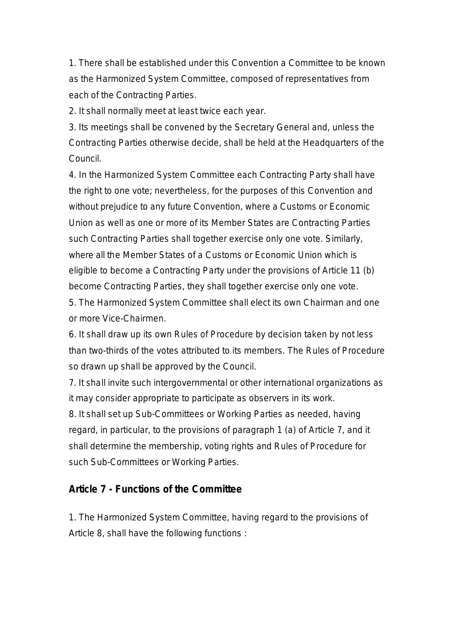1. There shall be established under this Convention a Committee to be known as the Harmonized System Committee, composed of representatives from each of the Contracting Parties.

2. It shall normally meet at least twice each year.

3. Its meetings shall be convened by the Secretary General and, unless the Contracting Parties otherwise decide, shall be held at the Headquarters of the Council.

4. In the Harmonized System Committee each Contracting Party shall have the right to one vote; nevertheless, for the purposes of this Convention and without prejudice to any future Convention, where a Customs or Economic Union as well as one or more of its Member States are Contracting Parties such Contracting Parties shall together exercise only one vote. Similarly, where all the Member States of a Customs or Economic Union which is eligible to become a Contracting Party under the provisions of Article 11 (b) become Contracting Parties, they shall together exercise only one vote.

5. The Harmonized System Committee shall elect its own Chairman and one or more Vice-Chairmen.

6. It shall draw up its own Rules of Procedure by decision taken by not less than two-thirds of the votes attributed to its members. The Rules of Procedure so drawn up shall be approved by the Council.

7. It shall invite such intergovernmental or other international organizations as it may consider appropriate to participate as observers in its work.

8. It shall set up Sub-Committees or Working Parties as needed, having regard, in particular, to the provisions of paragraph 1 (a) of Article 7, and it shall determine the membership, voting rights and Rules of Procedure for such Sub-Committees or Working Parties.

#### **Article 7 - Functions of the Committee**

1. The Harmonized System Committee, having regard to the provisions of Article 8, shall have the following functions :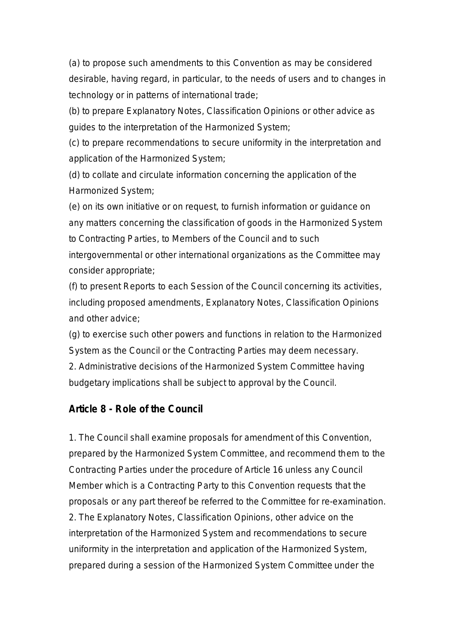(a) to propose such amendments to this Convention as may be considered desirable, having regard, in particular, to the needs of users and to changes in technology or in patterns of international trade;

(b) to prepare Explanatory Notes, Classification Opinions or other advice as guides to the interpretation of the Harmonized System;

(c) to prepare recommendations to secure uniformity in the interpretation and application of the Harmonized System;

(d) to collate and circulate information concerning the application of the Harmonized System;

(e) on its own initiative or on request, to furnish information or guidance on any matters concerning the classification of goods in the Harmonized System to Contracting Parties, to Members of the Council and to such

intergovernmental or other international organizations as the Committee may consider appropriate;

(f) to present Reports to each Session of the Council concerning its activities, including proposed amendments, Explanatory Notes, Classification Opinions and other advice;

(g) to exercise such other powers and functions in relation to the Harmonized System as the Council or the Contracting Parties may deem necessary.

2. Administrative decisions of the Harmonized System Committee having budgetary implications shall be subject to approval by the Council.

#### **Article 8 - Role of the Council**

1. The Council shall examine proposals for amendment of this Convention, prepared by the Harmonized System Committee, and recommend them to the Contracting Parties under the procedure of Article 16 unless any Council Member which is a Contracting Party to this Convention requests that the proposals or any part thereof be referred to the Committee for re-examination. 2. The Explanatory Notes, Classification Opinions, other advice on the interpretation of the Harmonized System and recommendations to secure uniformity in the interpretation and application of the Harmonized System, prepared during a session of the Harmonized System Committee under the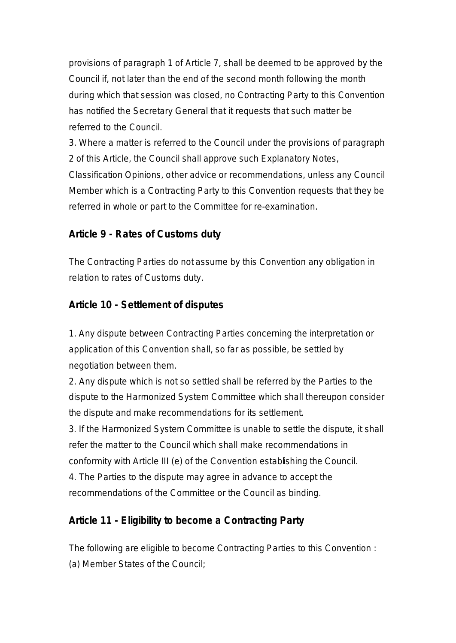provisions of paragraph 1 of Article 7, shall be deemed to be approved by the Council if, not later than the end of the second month following the month during which that session was closed, no Contracting Party to this Convention has notified the Secretary General that it requests that such matter be referred to the Council.

3. Where a matter is referred to the Council under the provisions of paragraph 2 of this Article, the Council shall approve such Explanatory Notes,

Classification Opinions, other advice or recommendations, unless any Council Member which is a Contracting Party to this Convention requests that they be referred in whole or part to the Committee for re-examination.

#### **Article 9 - Rates of Customs duty**

The Contracting Parties do not assume by this Convention any obligation in relation to rates of Customs duty.

#### **Article 10 - Settlement of disputes**

1. Any dispute between Contracting Parties concerning the interpretation or application of this Convention shall, so far as possible, be settled by negotiation between them.

2. Any dispute which is not so settled shall be referred by the Parties to the dispute to the Harmonized System Committee which shall thereupon consider the dispute and make recommendations for its settlement.

3. If the Harmonized System Committee is unable to settle the dispute, it shall refer the matter to the Council which shall make recommendations in conformity with Article III (e) of the Convention establishing the Council. 4. The Parties to the dispute may agree in advance to accept the recommendations of the Committee or the Council as binding.

#### **Article 11 - Eligibility to become a Contracting Party**

The following are eligible to become Contracting Parties to this Convention : (a) Member States of the Council;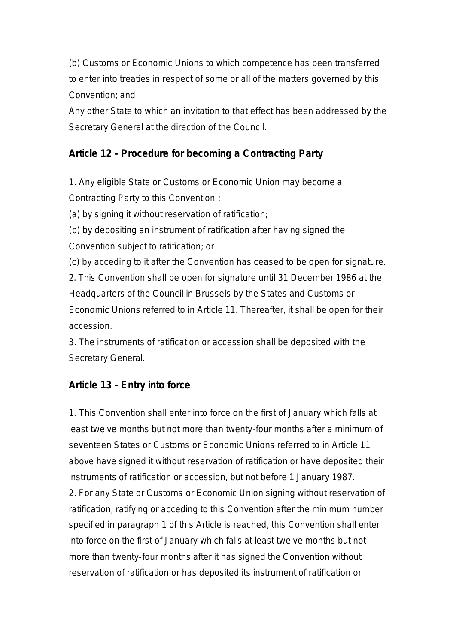(b) Customs or Economic Unions to which competence has been transferred to enter into treaties in respect of some or all of the matters governed by this Convention; and

Any other State to which an invitation to that effect has been addressed by the Secretary General at the direction of the Council.

#### **Article 12 - Procedure for becoming a Contracting Party**

1. Any eligible State or Customs or Economic Union may become a Contracting Party to this Convention :

(a) by signing it without reservation of ratification;

(b) by depositing an instrument of ratification after having signed the Convention subject to ratification; or

(c) by acceding to it after the Convention has ceased to be open for signature. 2. This Convention shall be open for signature until 31 December 1986 at the Headquarters of the Council in Brussels by the States and Customs or Economic Unions referred to in Article 11. Thereafter, it shall be open for their accession.

3. The instruments of ratification or accession shall be deposited with the Secretary General.

## **Article 13 - Entry into force**

1. This Convention shall enter into force on the first of January which falls at least twelve months but not more than twenty-four months after a minimum of seventeen States or Customs or Economic Unions referred to in Article 11 above have signed it without reservation of ratification or have deposited their instruments of ratification or accession, but not before 1 January 1987. 2. For any State or Customs or Economic Union signing without reservation of ratification, ratifying or acceding to this Convention after the minimum number specified in paragraph 1 of this Article is reached, this Convention shall enter into force on the first of January which falls at least twelve months but not more than twenty-four months after it has signed the Convention without reservation of ratification or has deposited its instrument of ratification or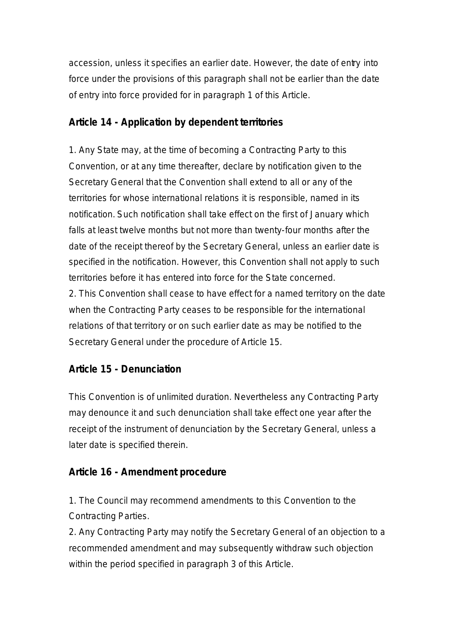accession, unless it specifies an earlier date. However, the date of entry into force under the provisions of this paragraph shall not be earlier than the date of entry into force provided for in paragraph 1 of this Article.

## **Article 14 - Application by dependent territories**

1. Any State may, at the time of becoming a Contracting Party to this Convention, or at any time thereafter, declare by notification given to the Secretary General that the Convention shall extend to all or any of the territories for whose international relations it is responsible, named in its notification. Such notification shall take effect on the first of January which falls at least twelve months but not more than twenty-four months after the date of the receipt thereof by the Secretary General, unless an earlier date is specified in the notification. However, this Convention shall not apply to such territories before it has entered into force for the State concerned.

2. This Convention shall cease to have effect for a named territory on the date when the Contracting Party ceases to be responsible for the international relations of that territory or on such earlier date as may be notified to the Secretary General under the procedure of Article 15.

## **Article 15 - Denunciation**

This Convention is of unlimited duration. Nevertheless any Contracting Party may denounce it and such denunciation shall take effect one year after the receipt of the instrument of denunciation by the Secretary General, unless a later date is specified therein.

## **Article 16 - Amendment procedure**

1. The Council may recommend amendments to this Convention to the Contracting Parties.

2. Any Contracting Party may notify the Secretary General of an objection to a recommended amendment and may subsequently withdraw such objection within the period specified in paragraph 3 of this Article.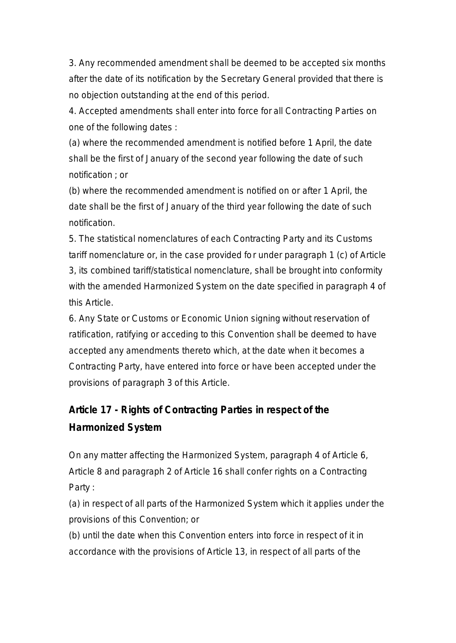3. Any recommended amendment shall be deemed to be accepted six months after the date of its notification by the Secretary General provided that there is no objection outstanding at the end of this period.

4. Accepted amendments shall enter into force for all Contracting Parties on one of the following dates :

(a) where the recommended amendment is notified before 1 April, the date shall be the first of January of the second year following the date of such notification ; or

(b) where the recommended amendment is notified on or after 1 April, the date shall be the first of January of the third year following the date of such notification.

5. The statistical nomenclatures of each Contracting Party and its Customs tariff nomenclature or, in the case provided for under paragraph 1 (c) of Article 3, its combined tariff/statistical nomenclature, shall be brought into conformity with the amended Harmonized System on the date specified in paragraph 4 of this Article.

6. Any State or Customs or Economic Union signing without reservation of ratification, ratifying or acceding to this Convention shall be deemed to have accepted any amendments thereto which, at the date when it becomes a Contracting Party, have entered into force or have been accepted under the provisions of paragraph 3 of this Article.

## **Article 17 - Rights of Contracting Parties in respect of the Harmonized System**

On any matter affecting the Harmonized System, paragraph 4 of Article 6, Article 8 and paragraph 2 of Article 16 shall confer rights on a Contracting Party :

(a) in respect of all parts of the Harmonized System which it applies under the provisions of this Convention; or

(b) until the date when this Convention enters into force in respect of it in accordance with the provisions of Article 13, in respect of all parts of the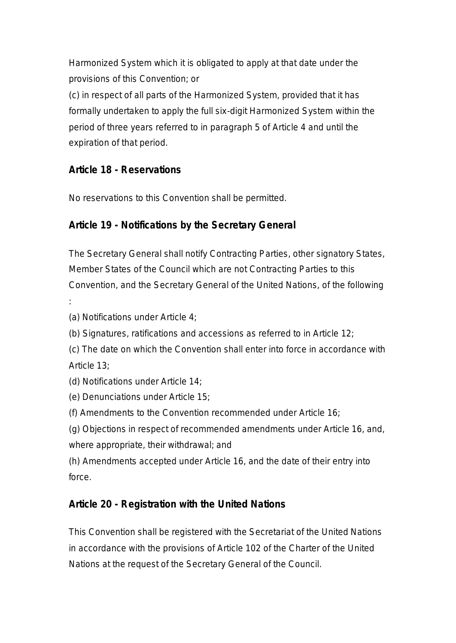Harmonized System which it is obligated to apply at that date under the provisions of this Convention; or

(c) in respect of all parts of the Harmonized System, provided that it has formally undertaken to apply the full six-digit Harmonized System within the period of three years referred to in paragraph 5 of Article 4 and until the expiration of that period.

## **Article 18 - Reservations**

No reservations to this Convention shall be permitted.

## **Article 19 - Notifications by the Secretary General**

The Secretary General shall notify Contracting Parties, other signatory States, Member States of the Council which are not Contracting Parties to this Convention, and the Secretary General of the United Nations, of the following

:

(a) Notifications under Article 4;

- (b) Signatures, ratifications and accessions as referred to in Article 12;
- (c) The date on which the Convention shall enter into force in accordance with Article 13;
- (d) Notifications under Article 14;
- (e) Denunciations under Article 15;
- (f) Amendments to the Convention recommended under Article 16;

(g) Objections in respect of recommended amendments under Article 16, and, where appropriate, their withdrawal; and

(h) Amendments accepted under Article 16, and the date of their entry into force.

## **Article 20 - Registration with the United Nations**

This Convention shall be registered with the Secretariat of the United Nations in accordance with the provisions of Article 102 of the Charter of the United Nations at the request of the Secretary General of the Council.